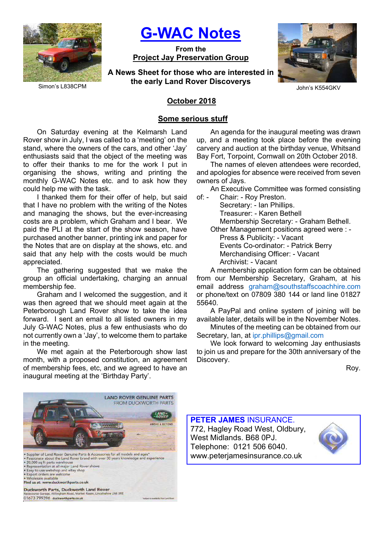

G-WAC Notes

From the Project Jay Preservation Group

A News Sheet for those who are interested in the early Land Rover Discoverys



John's K554GKV

## October 2018

### Some serious stuff

On Saturday evening at the Kelmarsh Land Rover show in July, I was called to a 'meeting' on the stand, where the owners of the cars, and other 'Jay' enthusiasts said that the object of the meeting was to offer their thanks to me for the work I put in organising the shows, writing and printing the monthly G-WAC Notes etc. and to ask how they could help me with the task.

I thanked them for their offer of help, but said that I have no problem with the writing of the Notes and managing the shows, but the ever-increasing costs are a problem, which Graham and I bear. We paid the PLI at the start of the show season, have purchased another banner, printing ink and paper for the Notes that are on display at the shows, etc. and said that any help with the costs would be much appreciated.

The gathering suggested that we make the group an official undertaking, charging an annual membership fee.

Graham and I welcomed the suggestion, and it was then agreed that we should meet again at the Peterborough Land Rover show to take the idea forward. I sent an email to all listed owners in my July G-WAC Notes, plus a few enthusiasts who do not currently own a 'Jay', to welcome them to partake in the meeting.

We met again at the Peterborough show last month, with a proposed constitution, an agreement of membership fees, etc, and we agreed to have an inaugural meeting at the 'Birthday Party'.

An agenda for the inaugural meeting was drawn up, and a meeting took place before the evening carvery and auction at the birthday venue, Whitsand Bay Fort, Torpoint, Cornwall on 20th October 2018.

The names of eleven attendees were recorded, and apologies for absence were received from seven owners of Jays.

An Executive Committee was formed consisting

of: - Chair: - Roy Preston. Secretary: - Ian Phillips. Treasurer: - Karen Bethell Membership Secretary: - Graham Bethell. Other Management positions agreed were : -

 Press & Publicity: - Vacant Events Co-ordinator: - Patrick Berry Merchandising Officer: - Vacant Archivist: - Vacant

A membership application form can be obtained from our Membership Secretary, Graham, at his email address graham@southstaffscoachhire.com or phone/text on 07809 380 144 or land line 01827 55640.

A PayPal and online system of joining will be available later, details will be in the November Notes.

Minutes of the meeting can be obtained from our Secretary, Ian, at ipr.phillips@gmail.com

We look forward to welcoming Jay enthusiasts to join us and prepare for the 30th anniversary of the Discovery.

Roy.



PETER JAMES INSURANCE. 772, Hagley Road West, Oldbury, West Midlands. B68 0PJ. Telephone: 0121 506 6040. www.peterjamesinsurance.co.uk

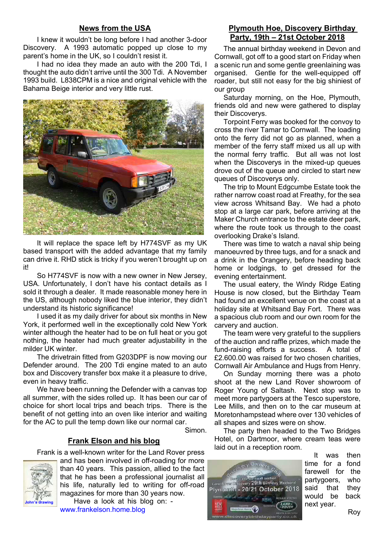## News from the USA

I knew it wouldn't be long before I had another 3-door Discovery. A 1993 automatic popped up close to my parent's home in the UK, so I couldn't resist it.

I had no idea they made an auto with the 200 Tdi, I thought the auto didn't arrive until the 300 Tdi. A November 1993 build. L838CPM is a nice and original vehicle with the Bahama Beige interior and very little rust.



It will replace the space left by H774SVF as my UK based transport with the added advantage that my family can drive it. RHD stick is tricky if you weren't brought up on it!

So H774SVF is now with a new owner in New Jersey, USA. Unfortunately, I don't have his contact details as I sold it through a dealer. It made reasonable money here in the US, although nobody liked the blue interior, they didn't understand its historic significance!

I used it as my daily driver for about six months in New York, it performed well in the exceptionally cold New York winter although the heater had to be on full heat or you got nothing, the heater had much greater adjustability in the milder UK winter.

The drivetrain fitted from G203DPF is now moving our Defender around. The 200 Tdi engine mated to an auto box and Discovery transfer box make it a pleasure to drive, even in heavy traffic.

We have been running the Defender with a canvas top all summer, with the sides rolled up. It has been our car of choice for short local trips and beach trips. There is the benefit of not getting into an oven like interior and waiting for the AC to pull the temp down like our normal car.

Simon.

# Frank Elson and his blog

Frank is a well-known writer for the Land Rover press



and has been involved in off-roading for more than 40 years. This passion, allied to the fact that he has been a professional journalist all his life, naturally led to writing for off-road magazines for more than 30 years now.

Have a look at his blog on: www.frankelson.home.blog

## Plymouth Hoe, Discovery Birthday Party, 19th – 21st October 2018

The annual birthday weekend in Devon and Cornwall, got off to a good start on Friday when a scenic run and some gentle greenlaining was organised. Gentle for the well-equipped off roader, but still not easy for the big shiniest of our group

Saturday morning, on the Hoe, Plymouth, friends old and new were gathered to display their Discoverys.

Torpoint Ferry was booked for the convoy to cross the river Tamar to Cornwall. The loading onto the ferry did not go as planned, when a member of the ferry staff mixed us all up with the normal ferry traffic. But all was not lost when the Discoverys in the mixed-up queues drove out of the queue and circled to start new queues of Discoverys only.

The trip to Mount Edgcumbe Estate took the rather narrow coast road at Freathy, for the sea view across Whitsand Bay. We had a photo stop at a large car park, before arriving at the Maker Church entrance to the estate deer park, where the route took us through to the coast overlooking Drake's Island.

There was time to watch a naval ship being manoeuvred by three tugs, and for a snack and a drink in the Orangery, before heading back home or lodgings, to get dressed for the evening entertainment.

The usual eatery, the Windy Ridge Eating House is now closed, but the Birthday Team had found an excellent venue on the coast at a holiday site at Whitsand Bay Fort. There was a spacious club room and our own room for the carvery and auction.

The team were very grateful to the suppliers of the auction and raffle prizes, which made the fund-raising efforts a success. A total of £2.600.00 was raised for two chosen charities, Cornwall Air Ambulance and Hugs from Henry.

On Sunday morning there was a photo shoot at the new Land Rover showroom of Roger Young of Saltash. Next stop was to meet more partygoers at the Tesco superstore, Lee Mills, and then on to the car museum at Moretonhampstead where over 130 vehicles of all shapes and sizes were on show.

The party then headed to the Two Bridges Hotel, on Dartmoor, where cream teas were laid out in a reception room.



It was then time for a fond farewell for the partygoers, who said that they would be back next year.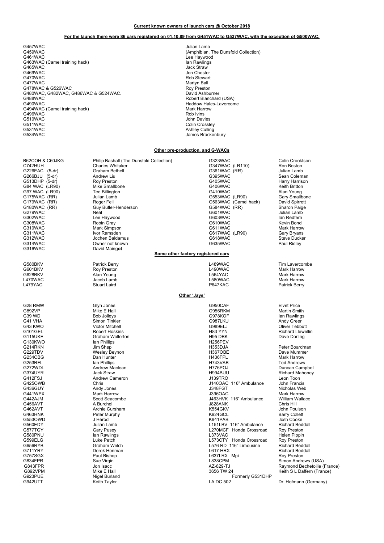#### Current known owners of launch cars @ October 2018

### For the launch there were 86 cars registered on 01.10.89 from G451WAC to G537WAC, with the exception of G500WAC.

G457WAC Julian Lamb G461WAC Lee Haywood G463WAC (Camel training hack) **In the Contract of Camel Accord Contract Contract Contract Contract Contract Contract Contract Contract Contract Contract Contract Contract Contract Contract Contract Contract Contract Contra** G465WAC Jack Straw<br>G465WAC Jack Straw<br>G469WAC Jon Cheste G469WAC Jon Chester<br>G470WAC Jon Chester CATOWAC Jon Chester G470WAC GATOWAC CONTROL CONTROL CONTROL CONTROL CONTROL CONTROL CONTROL CONTROL CONTROL CONTROL CONTROL CONTROL CONTROL CONTROL CONTROL CONTROL CONTROL CONTROL CONTROL CONTROL CONTROL CONTROL CONTROL CONTROL CONTROL CONTRO G478WAC & G526WAC G480WAC, G482WAC, G486WAC & G524WAC.<br>G488WAC G480WAC, G482WAC, G486WAC & G524WAC.<br>G488WAC Robert Blanchard (USA)<br>G490WAC Robert Blanchard (USA) G494WAC (Camel training hack)<br>
G496WAC (G496WAC Mark Harrow Mark Harrow Mark Harrow Mark Harrow Mark Harrow Mark Harrow Mark Harrow Mark Harr<br>
G496WAC (Gamel training hack) G496WAC<br>G510WAC G510WAC John Davies<br>G511WAC G511WAC John Davies Superior Section 2016 10:00:00 John Davies Colin Crossle G511WAC Colin Crossley Colin Crossley<br>Colin Crossley Culling G531WAC Ashley Culling<br>G534WAC Ashley Culling<br>Lames Bracke

(Amphibian. The Dunsfold Collection) Martyn Ball<br>Roy Preston Haddow Hales-Lavercome<br>Mark Harrow James Brackenbury

### Other pre-production, and G-WACs

G316WAC David Maingot G580BKV Patrick Berry L489WAC Tim Lavercombe G601BKV Roy Preston L490WAC Mark Harrow G628BKV Alan Young L564YAC Mark Harrow L470WAC Jacob Lamb L580WAC Mark Harrow L479YAC Stuart Laird P647KAC Patrick Berry G130KWO Ian Phillips (G130KWO Ian Phillips (G130KWO Ian Phillips (G130KWO Ian Phillips (G214RKN ISS3DJA

B62COH & C60JKG Philip Bashall (The Dunsfold Collection) G323WAC G323WAC Colin Crooktson<br>C742HUH Charles Whitaker Colin Charles Collection (C347WAC (LR110) Ron Boston G266BJU (5-dr) Andrew Liu G395WAC Sean Coleman

Graham Wollerton **Graham Wollerton** H95 DBK **DR**<br>
Ian Phillips **H95 DBK** H256PEV G757SGX Paul Bishop L637LRX Mpi Roy Preston

C742HUH Charles Whitaker G347WAC (LR110) Ron Boston Graham Bethell (States of the Case of the Case of the Case of the Case of the Case of the Case of the Case of the Case of the Case of the Case of the Case of the Case of the Case of the Case of the Case of the Case of the G513DHP (5-dr) Roy Preston G405WAC Harry Harrison G84 WAC (LR90) The Control of the Smallbone CHAO CONTROL CONTROL CONTROL CONTROL CONTROL CONTROL CONTROL CONTR<br>G406WAC (LR90) G406WAC CONTROL CONTROL CONTROL CONTROL CONTROL CONTROL CONTROL CONTROL CONTROL CONTROL CONTRO<br>G G97 WAC (LR90) Ted Billington G410WAC Alan Young<br>G175WAC (RR) Julian Lamb G553WAC (LR90) Gary Smallbone<br>G179WAC (RR) Roger Fell G563WAC ( G175WAC (RR) Julian Lamb G553WAC (LR90) Gary Smallbone G179WAC (RR) Roger Fell G563WAC (Camel hack) David Spirrett G179WAC (NN) The Registral Communication of the Communication of the Communication of the Communication of the<br>G180WAC (RR) GUI Butler-Henderson G584WAC (RR) Sharon Paige<br>G601WAC Julian Lamb G279WAC Neal G601WAC Julian Lamb G302WAC Lee Haywood G603WAC Ian Redfern G308WAC Robin Gray G610WAC Kevin Bond G310WAC Mark Simpson G611WAC Mark Harrow G311WAC Ivor Ramsden G617WAC (LR90) Gary Bryans G312WAC Jochen Baldamus G618WAC Steve Ducker G314WAC Owner not known G635WAC Paul Ridley

#### Some other factory registered cars

### Other 'Jays'

G28 RMW Glyn Jones G950CAF Elvet Price G892VP Mike E Hall G956RKM Martin Smith G39 WD Bob Jolleys G978KOF Ian Rawlings G41 VHA Simon Tinkler G987LKU Andy Greer G43 KWO Victor Mitchell G989ELJ Oliver Tebbutt G101GEL Robert Hoskins H83 YYN Richard Llewellin G214RKN Jim Shep H353DJA Peter Boardman G229TDV Wesley Beynon H367OBE Dave Mummer<br>G234CBG Dan Hunter H436FPL Mark Harrow G234CBG Dan Hunter H436FPL Mark Harrow G253RFL Ian Phillips H743VAB Ted Andrews G272WDL Andrew Maclean H776POJ Duncan Campbell G374UYR Jack Straw H994BUU Richard Mahoney G412FSJ Andrew Cameron J139TRO Leon Toon J140OAC 116" Ambulance G436GUY Andy Jones J348FGT Nicholas Web G441WPX Mark Harrow J396OAC Mark Harrow G442AJM Scott Seacombe COMENSIL CONSULTED THE SCOTT SEARCH SEACH SEACH SEACH SEACH SEACH SEACH SEACH SEACH SE<br>G442AJM Scott Seacombe CASH Seacombe J463HVK 116" Ambulance William Wallace<br>G456AVT Chris Hill G456AVT A Burchel J828ANK Chris Hill G462AVT Archie Cursham K554GKV John Poulson G463HNK Peter Murphy K924GCL Barry Collett G553OWD J Herod K941PAB Josh Cooke G560EDY Julian Lamb L151LBV 116" Ambulance Richard Beddall G577TGY Gary Pusey L270MCF Honda Crossroad Roy Preston G580PNU lan Rawlings L373VAC Helen Pippin G599ELG Luke Petch L573CTY Honda Crossroad Roy Preston G656RYB Graham Welch L576 RD 116" Limousine Richard Beddall G711YRY Derek Henman L617 HRX Richard Beddall G834FPR Sue Virgin L838CPM Simon Andrews (USA) G843FPR Jon Isacc AZ-829-TJ Raymond Bechetoille (France) G892VPM Mike E Hall 3656 TW 24 Keith S L Daffern (France)<br>G892VPM Mike E Hall 3656 TW 24 Keith S L Daffern (France)<br>G923PUE Nigel Burland Sunnand Formerly G531DHP G923PUE Nigel Burland Formerly G531DHP

Dr. Hofmann (Germany)